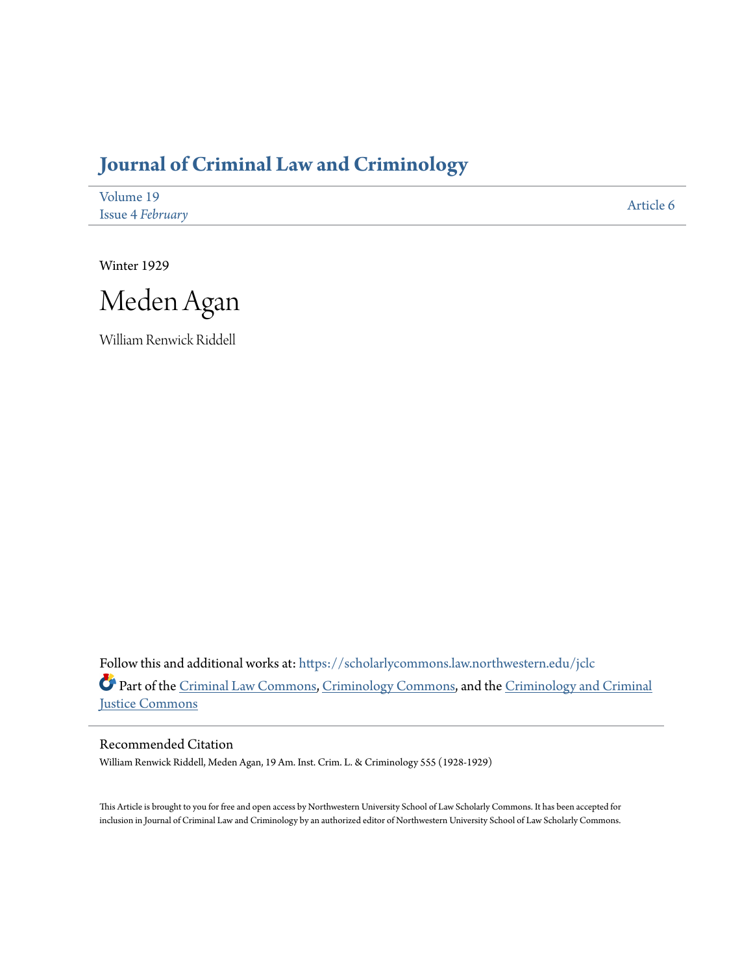## **[Journal of Criminal Law and Criminology](https://scholarlycommons.law.northwestern.edu/jclc?utm_source=scholarlycommons.law.northwestern.edu%2Fjclc%2Fvol19%2Fiss4%2F6&utm_medium=PDF&utm_campaign=PDFCoverPages)**

| Volume 19               | Article 6 |
|-------------------------|-----------|
| <b>Issue 4 February</b> |           |

Winter 1929



William Renwick Riddell

Follow this and additional works at: [https://scholarlycommons.law.northwestern.edu/jclc](https://scholarlycommons.law.northwestern.edu/jclc?utm_source=scholarlycommons.law.northwestern.edu%2Fjclc%2Fvol19%2Fiss4%2F6&utm_medium=PDF&utm_campaign=PDFCoverPages) Part of the [Criminal Law Commons](http://network.bepress.com/hgg/discipline/912?utm_source=scholarlycommons.law.northwestern.edu%2Fjclc%2Fvol19%2Fiss4%2F6&utm_medium=PDF&utm_campaign=PDFCoverPages), [Criminology Commons](http://network.bepress.com/hgg/discipline/417?utm_source=scholarlycommons.law.northwestern.edu%2Fjclc%2Fvol19%2Fiss4%2F6&utm_medium=PDF&utm_campaign=PDFCoverPages), and the [Criminology and Criminal](http://network.bepress.com/hgg/discipline/367?utm_source=scholarlycommons.law.northwestern.edu%2Fjclc%2Fvol19%2Fiss4%2F6&utm_medium=PDF&utm_campaign=PDFCoverPages) [Justice Commons](http://network.bepress.com/hgg/discipline/367?utm_source=scholarlycommons.law.northwestern.edu%2Fjclc%2Fvol19%2Fiss4%2F6&utm_medium=PDF&utm_campaign=PDFCoverPages)

Recommended Citation

William Renwick Riddell, Meden Agan, 19 Am. Inst. Crim. L. & Criminology 555 (1928-1929)

This Article is brought to you for free and open access by Northwestern University School of Law Scholarly Commons. It has been accepted for inclusion in Journal of Criminal Law and Criminology by an authorized editor of Northwestern University School of Law Scholarly Commons.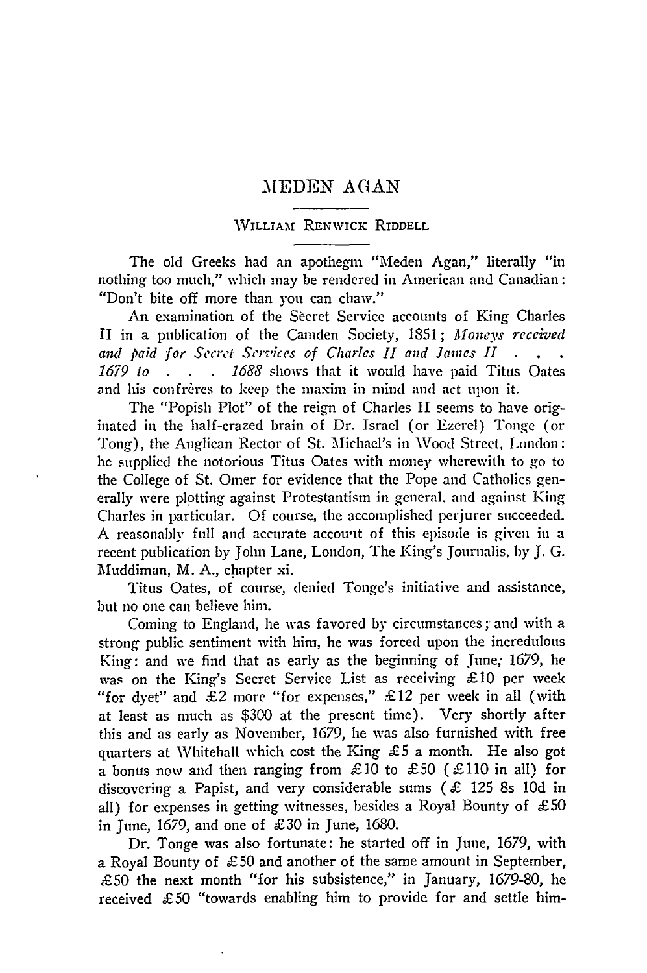## MEDEN AGAN

## WILLIAM RENWICK RIDDELL

The old Greeks had an apothegm "Meden Agan," literally "in nothing too much," which may be rendered in American and Canadian: "Don't bite off more than you can chaw."

An examination of the Secret Service accounts of King Charles II in a publication of the Camden Society, 1851; *Moneys received and paid for Secret Services of Charles II and James II 1679 to* **. . .** *1688* shows that it would have paid Titus Oates and his confrères to keep the maxim in mind and act upon it.

The "Popish Plot" of the reign of Charles II seems to have originated in the half-crazed brain of Dr. Israel (or Ezerel) Tonge (or Tong), the Anglican Rector of St. Michael's in Wood Street, London : he supplied the notorious Titus Oates with money wherewith to go to the College of St. Omer for evidence that the Pope and Catholics generally were plotting against Protestantism in general, and against King Charles in particular. Of course, the accomplished perjurer succeeded. A reasonably full and accurate accou't of this episode is given in a recent publication **by** John Lane, London, The King's Journalis, **by** J. **G.** Muddiman, M. A., chapter xi.

Titus Oates, of course, denied Tonge's initiative and assistance, but no one can believe him.

Coming to England, he was favored **by** circumstances; and with a strong public sentiment with him, he was forced upon the incredulous King: and we find that as early as the beginning of June; 1679, he was on the King's Secret Service List as receiving *£10* per week "for dyet" and  $£2$  more "for expenses,"  $£12$  per week in all (with at least as much as \$300 at the present time). Very shortly after this and as early as November, 1679, he was also furnished with free quarters at Whitehall which cost the King *£5* a month. He also got a bonus now and then ranging from *£10* to *£50* (£110 in all) for discovering a Papist, and very considerable sums *(£* **125** 8s **10d** in all) for expenses in getting witnesses, besides a Royal Bounty of *£50* in June, 1679, and one of *£30* in June, 1680.

Dr. Tonge was also fortunate: he started off in June, 1679, with a Royal Bounty of *£50* and another of the same amount in September, *£50* the next month "for his subsistence," in January, 1679-80, he received *£50* "towards enabling him to provide for and settle him